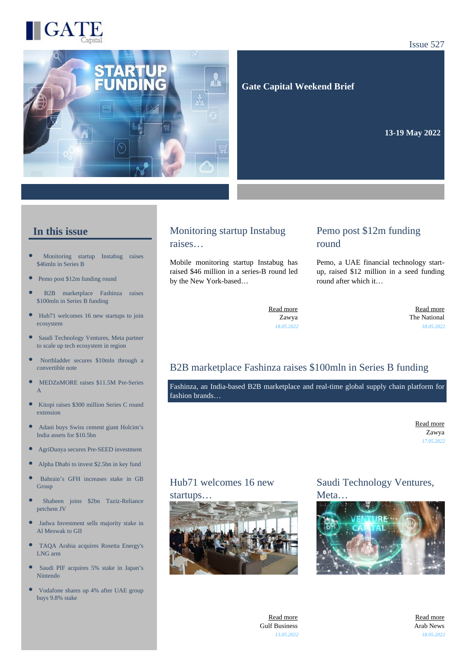

Issue 527

 **Gate Capital Weekend Brief**

**13-19 May 2022** 

# **In this issue**

- [Monitoring startup Instabug raises](https://gatecapital.net/back_office/newsletters/tracking/5959/669) [\\$46mln in Series B](https://gatecapital.net/back_office/newsletters/tracking/5959/669)
- [Pemo post \\$12m funding round](https://gatecapital.net/back_office/newsletters/tracking/5963/669)
- [B2B marketplace Fashinza raises](https://gatecapital.net/back_office/newsletters/tracking/5960/669) [\\$100mln in Series B funding](https://gatecapital.net/back_office/newsletters/tracking/5960/669)
- $\bullet$ [Hub71 welcomes 16 new startups to join](https://gatecapital.net/back_office/newsletters/tracking/5956/669) [ecosystem](https://gatecapital.net/back_office/newsletters/tracking/5956/669)
- $\bullet$ [Saudi Technology Ventures, Meta partner](https://gatecapital.net/back_office/newsletters/tracking/5961/669) [to scale up tech ecosystem in region](https://gatecapital.net/back_office/newsletters/tracking/5961/669)
- $\bullet$ [Northladder secures \\$10mln through a](https://gatecapital.net/back_office/newsletters/tracking/5950/669) [convertible note](https://gatecapital.net/back_office/newsletters/tracking/5950/669)
- Ċ [MEDZnMORE raises \\$11.5M Pre-Series](https://gatecapital.net/back_office/newsletters/tracking/5965/669) [A](https://gatecapital.net/back_office/newsletters/tracking/5965/669)
- $\bullet$ [Kitopi raises \\$300 million Series C round](https://gatecapital.net/back_office/newsletters/tracking/5966/669) [extension](https://gatecapital.net/back_office/newsletters/tracking/5966/669)
- $\bullet$ [Adani buys Swiss cement giant Holcim's](https://gatecapital.net/back_office/newsletters/tracking/5944/669) [India assets for \\$10.5bn](https://gatecapital.net/back_office/newsletters/tracking/5944/669)
- [AgriDunya secures Pre-SEED investment](https://gatecapital.net/back_office/newsletters/tracking/5955/669)
- [Alpha Dhabi to invest \\$2.5bn in key fund](https://gatecapital.net/back_office/newsletters/tracking/5964/669)
- [Bahrain's GFH increases stake in GB](https://gatecapital.net/back_office/newsletters/tracking/5948/669) [Group](https://gatecapital.net/back_office/newsletters/tracking/5948/669)
- × [Shaheen joins \\$2bn Taziz-Reliance](https://gatecapital.net/back_office/newsletters/tracking/5945/669) [petchem JV](https://gatecapital.net/back_office/newsletters/tracking/5945/669)
- $\bullet$ [Jadwa Investment sells majority stake in](https://gatecapital.net/back_office/newsletters/tracking/5946/669) [Al Meswak to GII](https://gatecapital.net/back_office/newsletters/tracking/5946/669)
- [TAQA Arabia acquires Rosetta Energy's](https://gatecapital.net/back_office/newsletters/tracking/5949/669) [LNG arm](https://gatecapital.net/back_office/newsletters/tracking/5949/669)
- $\bullet$ [Saudi PIF acquires 5% stake in Japan's](https://gatecapital.net/back_office/newsletters/tracking/5962/669) [Nintendo](https://gatecapital.net/back_office/newsletters/tracking/5962/669)
- [Vodafone shares up 4% after UAE group](https://gatecapital.net/back_office/newsletters/tracking/5952/669) [buys 9.8% stake](https://gatecapital.net/back_office/newsletters/tracking/5952/669)

### Monitoring startup Instabug raises…

Mobile monitoring startup Instabug has raised \$46 million in a series-B round led by the New York-based…

# Pemo post \$12m funding round

Pemo, a UAE financial technology startup, raised \$12 million in a seed funding round after which it…

[Read more](https://gatecapital.net/back_office/newsletters/tracking/5959/669) Zawya *18.05.2022*

[Read more](https://gatecapital.net/back_office/newsletters/tracking/5963/669) The National *18.05.2022*

# B2B marketplace Fashinza raises \$100mln in Series B funding

Fashinza, an India-based B2B marketplace and real-time global supply chain platform for fashion brands…

> [Read more](https://gatecapital.net/back_office/newsletters/tracking/5960/669) Zawya *17.05.2022*

# Hub71 welcomes 16 new



Saudi Technology Ventures, Meta...



[Read more](https://gatecapital.net/back_office/newsletters/tracking/5956/669) Gulf Business *13.05.2022*

[Read more](https://gatecapital.net/back_office/newsletters/tracking/5961/669) Arab News *18.05.2022*

# startups…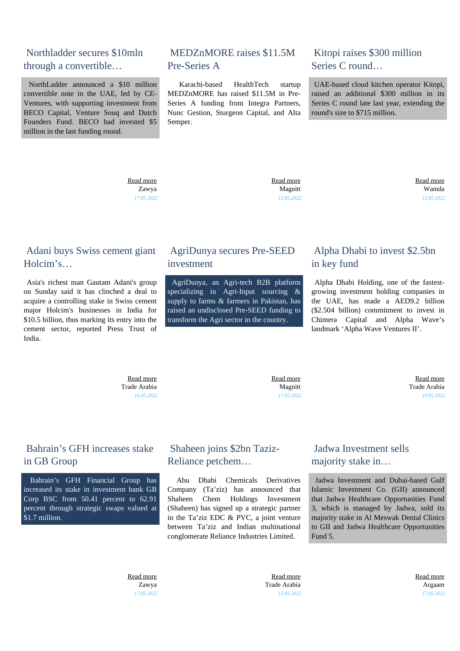# Northladder secures \$10mln through a convertible…

 NorthLadder announced a \$10 million convertible note in the UAE, led by CE-Ventures, with supporting investment from BECO Capital, Venture Souq and Dutch Founders Fund. BECO had invested \$5 million in the last funding round.

# MEDZnMORE raises \$11.5M Pre-Series A

 Karachi-based HealthTech startup MEDZnMORE has raised \$11.5M in Pre-Series A funding from Integra Partners, Nunc Gestion, Sturgeon Capital, and Alta Semper.

# Kitopi raises \$300 million Series C round…

 UAE-based cloud kitchen operator Kitopi, raised an additional \$300 million in its Series C round late last year, extending the round's size to \$715 million.

 [Read more](https://gatecapital.net/back_office/newsletters/tracking/5950/669) Zawya *17.05.2022*  [Read more](https://gatecapital.net/back_office/newsletters/tracking/5965/669) Magnitt *13.05.2022*  [Read more](https://gatecapital.net/back_office/newsletters/tracking/5966/669) Wamda *13.05.2022*

# Adani buys Swiss cement giant Holcim's…

 Asia's richest man Gautam Adani's group on Sunday said it has clinched a deal to acquire a controlling stake in Swiss cement major Holcim's businesses in India for \$10.5 billion, thus marking its entry into the cement sector, reported Press Trust of India.

# AgriDunya secures Pre-SEED investment

 AgriDunya, an Agri-tech B2B platform specializing in Agri-Input sourcing  $\&$ supply to farms & farmers in Pakistan, has raised an undisclosed Pre-SEED funding to transform the Agri sector in the country.

# Alpha Dhabi to invest \$2.5bn in key fund

 Alpha Dhabi Holding, one of the fastestgrowing investment holding companies in the UAE, has made a AED9.2 billion (\$2.504 billion) commitment to invest in Chimera Capital and Alpha Wave's landmark 'Alpha Wave Ventures II'.

 [Read more](https://gatecapital.net/back_office/newsletters/tracking/5944/669) Trade Arabia *16.05.2022*

 [Read more](https://gatecapital.net/back_office/newsletters/tracking/5955/669) Magnitt *17.05.2022*

 [Read more](https://gatecapital.net/back_office/newsletters/tracking/5964/669) Trade Arabia *19.05.2022*

# Bahrain's GFH increases stake in GB Group

 Bahrain's GFH Financial Group has increased its stake in investment bank GB Corp BSC from 50.41 percent to 62.91 percent through strategic swaps valued at \$1.7 million.

# Shaheen joins \$2bn Taziz-Reliance petchem…

 Abu Dhabi Chemicals Derivatives Company (Ta'ziz) has announced that Shaheen Chem Holdings Investment (Shaheen) has signed up a strategic partner in the Ta'ziz EDC & PVC, a joint venture between Ta'ziz and Indian multinational conglomerate Reliance Industries Limited.

# Jadwa Investment sells majority stake in…

 Jadwa Investment and Dubai-based Gulf Islamic Investment Co. (GII) announced that Jadwa Healthcare Opportunities Fund 3, which is managed by Jadwa, sold its majority stake in Al Meswak Dental Clinics to GII and Jadwa Healthcare Opportunities Fund 5.

 [Read more](https://gatecapital.net/back_office/newsletters/tracking/5948/669) Zawya *17.05.2022*

 [Read more](https://gatecapital.net/back_office/newsletters/tracking/5945/669) Trade Arabia *13.05.2022*  [Read more](https://gatecapital.net/back_office/newsletters/tracking/5946/669) Argaam *17.05.2022*